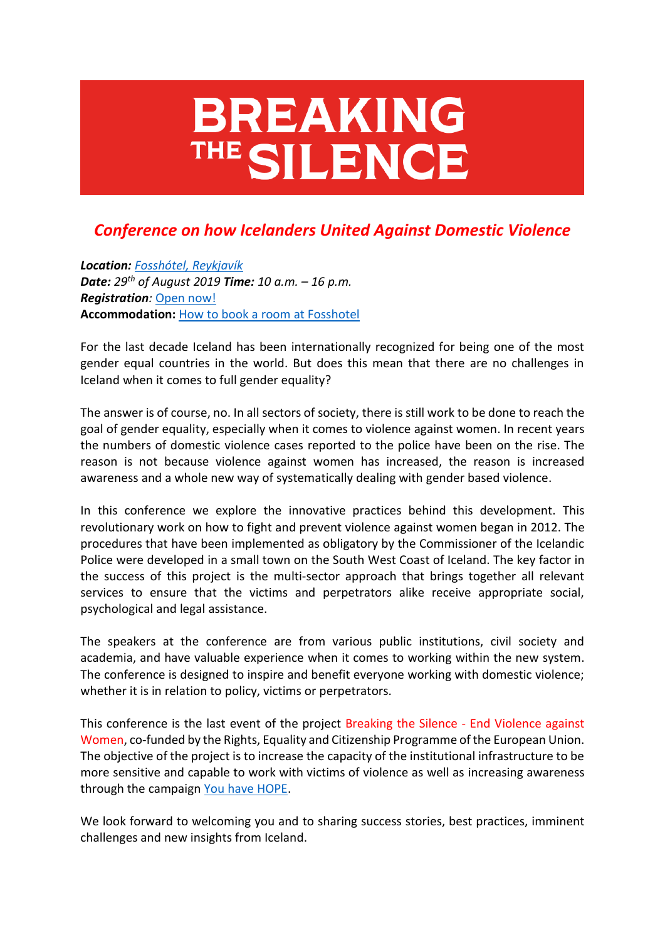# **BREAKING** THE SILENCE

## *Conference on how Icelanders United Against Domestic Violence*

*Location: [Fosshótel, Reykjavík](https://www.islandshotel.is/hotels-in-iceland/fosshotel-reykjavik) Date: 29th of August 2019 Time: 10 a.m. – 16 p.m. Registration:* [Open now!](https://www.jafnretti.is/von/english/breaking-registration) **Accommodation:** [How to book a room at Fosshotel](https://www.jafnretti.is/von/moya/page/accommodation)

For the last decade Iceland has been internationally recognized for being one of the most gender equal countries in the world. But does this mean that there are no challenges in Iceland when it comes to full gender equality?

The answer is of course, no. In all sectors of society, there is still work to be done to reach the goal of gender equality, especially when it comes to violence against women. In recent years the numbers of domestic violence cases reported to the police have been on the rise. The reason is not because violence against women has increased, the reason is increased awareness and a whole new way of systematically dealing with gender based violence.

In this conference we explore the innovative practices behind this development. This revolutionary work on how to fight and prevent violence against women began in 2012. The procedures that have been implemented as obligatory by the Commissioner of the Icelandic Police were developed in a small town on the South West Coast of Iceland. The key factor in the success of this project is the multi-sector approach that brings together all relevant services to ensure that the victims and perpetrators alike receive appropriate social, psychological and legal assistance.

The speakers at the conference are from various public institutions, civil society and academia, and have valuable experience when it comes to working within the new system. The conference is designed to inspire and benefit everyone working with domestic violence; whether it is in relation to policy, victims or perpetrators.

This conference is the last event of the project Breaking the Silence - End Violence against Women, co-funded by the Rights, Equality and Citizenship Programme of the European Union. The objective of the project is to increase the capacity of the institutional infrastructure to be more sensitive and capable to work with victims of violence as well as increasing awareness through the campaign [You have HOPE.](https://www.jafnretti.is/von/english)

We look forward to welcoming you and to sharing success stories, best practices, imminent challenges and new insights from Iceland.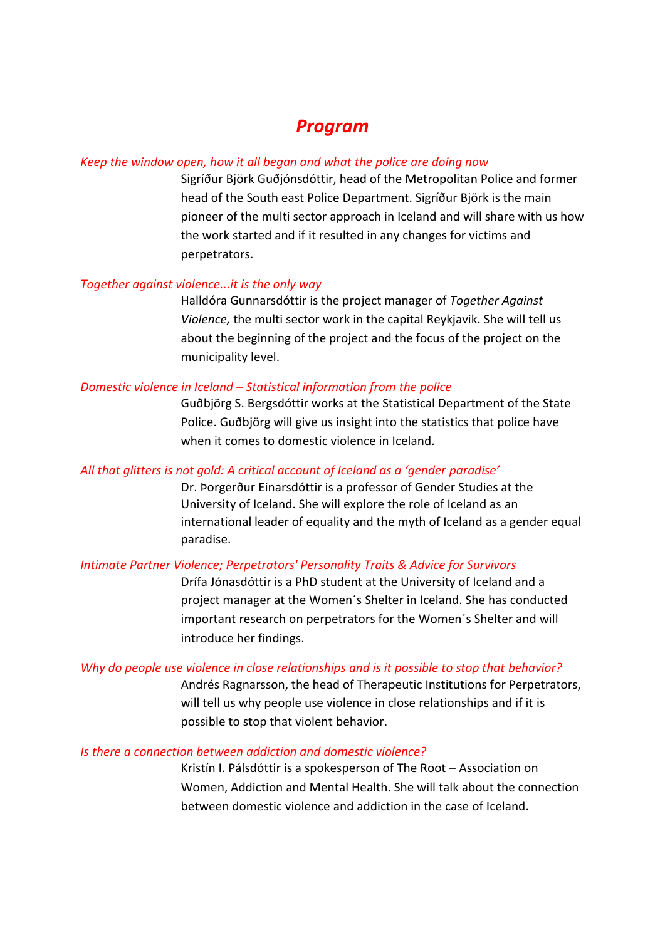### *Program*

#### *Keep the window open, how it all began and what the police are doing now*

Sigríður Björk Guðjónsdóttir, head of the Metropolitan Police and former head of the South east Police Department. Sigríður Björk is the main pioneer of the multi sector approach in Iceland and will share with us how the work started and if it resulted in any changes for victims and perpetrators.

#### *Together against violence...it is the only way*

Halldóra Gunnarsdóttir is the project manager of *Together Against Violence,* the multi sector work in the capital Reykjavik. She will tell us about the beginning of the project and the focus of the project on the municipality level.

#### *Domestic violence in Iceland – Statistical information from the police*

Guðbjörg S. Bergsdóttir works at the Statistical Department of the State Police. Guðbjörg will give us insight into the statistics that police have when it comes to domestic violence in Iceland.

#### *All that glitters is not gold: A critical account of Iceland as a 'gender paradise'*

Dr. Þorgerður Einarsdóttir is a professor of Gender Studies at the University of Iceland. She will explore the role of Iceland as an international leader of equality and the myth of Iceland as a gender equal paradise.

#### *Intimate Partner Violence; Perpetrators' Personality Traits & Advice for Survivors*

Drífa Jónasdóttir is a PhD student at the University of Iceland and a project manager at the Women´s Shelter in Iceland. She has conducted important research on perpetrators for the Women´s Shelter and will introduce her findings.

#### *Why do people use violence in close relationships and is it possible to stop that behavior?*

Andrés Ragnarsson, the head of Therapeutic Institutions for Perpetrators, will tell us why people use violence in close relationships and if it is possible to stop that violent behavior.

#### *Is there a connection between addiction and domestic violence?*

Kristín I. Pálsdóttir is a spokesperson of The Root – Association on Women, Addiction and Mental Health. She will talk about the connection between domestic violence and addiction in the case of Iceland.